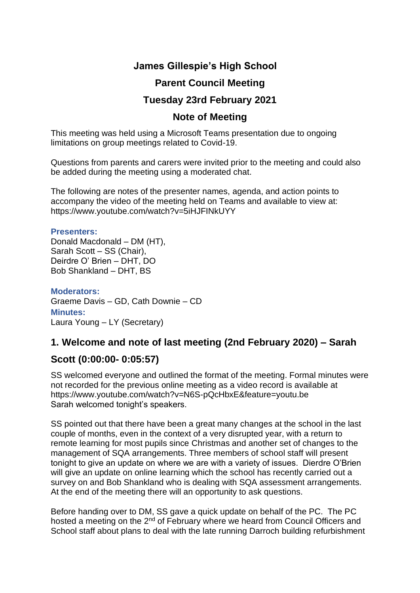# **James Gillespie's High School**

# **Parent Council Meeting**

## **Tuesday 23rd February 2021**

#### **Note of Meeting**

This meeting was held using a Microsoft Teams presentation due to ongoing limitations on group meetings related to Covid-19.

Questions from parents and carers were invited prior to the meeting and could also be added during the meeting using a moderated chat.

The following are notes of the presenter names, agenda, and action points to accompany the video of the meeting held on Teams and available to view at: https://www.youtube.com/watch?v=5iHJFINkUYY

#### **Presenters:**

Donald Macdonald – DM (HT), Sarah Scott – SS (Chair), Deirdre O' Brien – DHT, DO Bob Shankland – DHT, BS

**Moderators:** Graeme Davis – GD, Cath Downie – CD **Minutes:**  Laura Young – LY (Secretary)

## **1. Welcome and note of last meeting (2nd February 2020) – Sarah**

## **Scott (0:00:00- 0:05:57)**

SS welcomed everyone and outlined the format of the meeting. Formal minutes were not recorded for the previous online meeting as a video record is available at https://www.youtube.com/watch?v=N6S-pQcHbxE&feature=youtu.be Sarah welcomed tonight's speakers.

SS pointed out that there have been a great many changes at the school in the last couple of months, even in the context of a very disrupted year, with a return to remote learning for most pupils since Christmas and another set of changes to the management of SQA arrangements. Three members of school staff will present tonight to give an update on where we are with a variety of issues. Dierdre O'Brien will give an update on online learning which the school has recently carried out a survey on and Bob Shankland who is dealing with SQA assessment arrangements. At the end of the meeting there will an opportunity to ask questions.

Before handing over to DM, SS gave a quick update on behalf of the PC. The PC hosted a meeting on the 2<sup>nd</sup> of February where we heard from Council Officers and School staff about plans to deal with the late running Darroch building refurbishment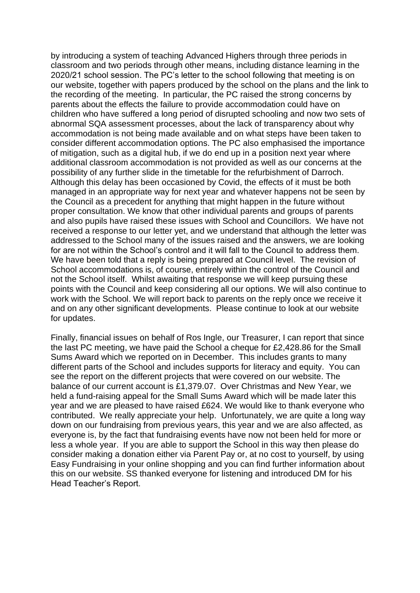by introducing a system of teaching Advanced Highers through three periods in classroom and two periods through other means, including distance learning in the 2020/21 school session. The PC's letter to the school following that meeting is on our website, together with papers produced by the school on the plans and the link to the recording of the meeting. In particular, the PC raised the strong concerns by parents about the effects the failure to provide accommodation could have on children who have suffered a long period of disrupted schooling and now two sets of abnormal SQA assessment processes, about the lack of transparency about why accommodation is not being made available and on what steps have been taken to consider different accommodation options. The PC also emphasised the importance of mitigation, such as a digital hub, if we do end up in a position next year where additional classroom accommodation is not provided as well as our concerns at the possibility of any further slide in the timetable for the refurbishment of Darroch. Although this delay has been occasioned by Covid, the effects of it must be both managed in an appropriate way for next year and whatever happens not be seen by the Council as a precedent for anything that might happen in the future without proper consultation. We know that other individual parents and groups of parents and also pupils have raised these issues with School and Councillors. We have not received a response to our letter yet, and we understand that although the letter was addressed to the School many of the issues raised and the answers, we are looking for are not within the School's control and it will fall to the Council to address them. We have been told that a reply is being prepared at Council level. The revision of School accommodations is, of course, entirely within the control of the Council and not the School itself. Whilst awaiting that response we will keep pursuing these points with the Council and keep considering all our options. We will also continue to work with the School. We will report back to parents on the reply once we receive it and on any other significant developments. Please continue to look at our website for updates.

Finally, financial issues on behalf of Ros Ingle, our Treasurer, I can report that since the last PC meeting, we have paid the School a cheque for £2,428.86 for the Small Sums Award which we reported on in December. This includes grants to many different parts of the School and includes supports for literacy and equity. You can see the report on the different projects that were covered on our website. The balance of our current account is £1,379.07. Over Christmas and New Year, we held a fund-raising appeal for the Small Sums Award which will be made later this year and we are pleased to have raised £624. We would like to thank everyone who contributed. We really appreciate your help. Unfortunately, we are quite a long way down on our fundraising from previous years, this year and we are also affected, as everyone is, by the fact that fundraising events have now not been held for more or less a whole year. If you are able to support the School in this way then please do consider making a donation either via Parent Pay or, at no cost to yourself, by using Easy Fundraising in your online shopping and you can find further information about this on our website. SS thanked everyone for listening and introduced DM for his Head Teacher's Report.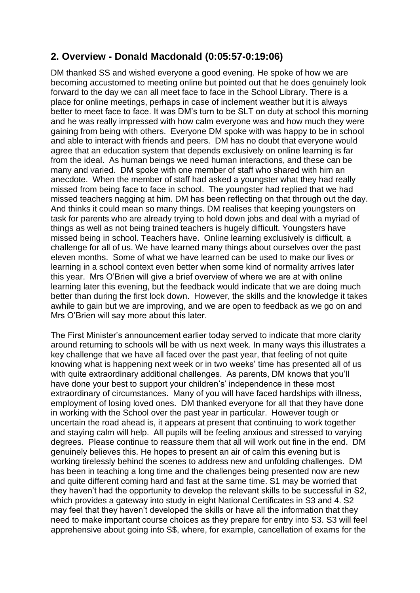## **2. Overview - Donald Macdonald (0:05:57-0:19:06)**

DM thanked SS and wished everyone a good evening. He spoke of how we are becoming accustomed to meeting online but pointed out that he does genuinely look forward to the day we can all meet face to face in the School Library. There is a place for online meetings, perhaps in case of inclement weather but it is always better to meet face to face. It was DM's turn to be SLT on duty at school this morning and he was really impressed with how calm everyone was and how much they were gaining from being with others. Everyone DM spoke with was happy to be in school and able to interact with friends and peers. DM has no doubt that everyone would agree that an education system that depends exclusively on online learning is far from the ideal. As human beings we need human interactions, and these can be many and varied. DM spoke with one member of staff who shared with him an anecdote. When the member of staff had asked a youngster what they had really missed from being face to face in school. The youngster had replied that we had missed teachers nagging at him. DM has been reflecting on that through out the day. And thinks it could mean so many things. DM realises that keeping youngsters on task for parents who are already trying to hold down jobs and deal with a myriad of things as well as not being trained teachers is hugely difficult. Youngsters have missed being in school. Teachers have. Online learning exclusively is difficult, a challenge for all of us. We have learned many things about ourselves over the past eleven months. Some of what we have learned can be used to make our lives or learning in a school context even better when some kind of normality arrives later this year. Mrs O'Brien will give a brief overview of where we are at with online learning later this evening, but the feedback would indicate that we are doing much better than during the first lock down. However, the skills and the knowledge it takes awhile to gain but we are improving, and we are open to feedback as we go on and Mrs O'Brien will say more about this later.

The First Minister's announcement earlier today served to indicate that more clarity around returning to schools will be with us next week. In many ways this illustrates a key challenge that we have all faced over the past year, that feeling of not quite knowing what is happening next week or in two weeks' time has presented all of us with quite extraordinary additional challenges. As parents, DM knows that you'll have done your best to support your children's' independence in these most extraordinary of circumstances. Many of you will have faced hardships with illness, employment of losing loved ones. DM thanked everyone for all that they have done in working with the School over the past year in particular. However tough or uncertain the road ahead is, it appears at present that continuing to work together and staying calm will help. All pupils will be feeling anxious and stressed to varying degrees. Please continue to reassure them that all will work out fine in the end. DM genuinely believes this. He hopes to present an air of calm this evening but is working tirelessly behind the scenes to address new and unfolding challenges. DM has been in teaching a long time and the challenges being presented now are new and quite different coming hard and fast at the same time. S1 may be worried that they haven't had the opportunity to develop the relevant skills to be successful in S2, which provides a gateway into study in eight National Certificates in S3 and 4. S2 may feel that they haven't developed the skills or have all the information that they need to make important course choices as they prepare for entry into S3. S3 will feel apprehensive about going into S\$, where, for example, cancellation of exams for the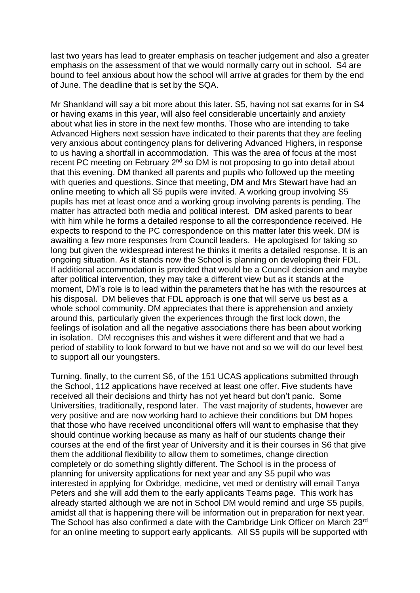last two years has lead to greater emphasis on teacher judgement and also a greater emphasis on the assessment of that we would normally carry out in school. S4 are bound to feel anxious about how the school will arrive at grades for them by the end of June. The deadline that is set by the SQA.

Mr Shankland will say a bit more about this later. S5, having not sat exams for in S4 or having exams in this year, will also feel considerable uncertainly and anxiety about what lies in store in the next few months. Those who are intending to take Advanced Highers next session have indicated to their parents that they are feeling very anxious about contingency plans for delivering Advanced Highers, in response to us having a shortfall in accommodation. This was the area of focus at the most recent PC meeting on February 2<sup>nd</sup> so DM is not proposing to go into detail about that this evening. DM thanked all parents and pupils who followed up the meeting with queries and questions. Since that meeting, DM and Mrs Stewart have had an online meeting to which all S5 pupils were invited. A working group involving S5 pupils has met at least once and a working group involving parents is pending. The matter has attracted both media and political interest. DM asked parents to bear with him while he forms a detailed response to all the correspondence received. He expects to respond to the PC correspondence on this matter later this week. DM is awaiting a few more responses from Council leaders. He apologised for taking so long but given the widespread interest he thinks it merits a detailed response. It is an ongoing situation. As it stands now the School is planning on developing their FDL. If additional accommodation is provided that would be a Council decision and maybe after political intervention, they may take a different view but as it stands at the moment, DM's role is to lead within the parameters that he has with the resources at his disposal. DM believes that FDL approach is one that will serve us best as a whole school community. DM appreciates that there is apprehension and anxiety around this, particularly given the experiences through the first lock down, the feelings of isolation and all the negative associations there has been about working in isolation. DM recognises this and wishes it were different and that we had a period of stability to look forward to but we have not and so we will do our level best to support all our youngsters.

Turning, finally, to the current S6, of the 151 UCAS applications submitted through the School, 112 applications have received at least one offer. Five students have received all their decisions and thirty has not yet heard but don't panic. Some Universities, traditionally, respond later. The vast majority of students, however are very positive and are now working hard to achieve their conditions but DM hopes that those who have received unconditional offers will want to emphasise that they should continue working because as many as half of our students change their courses at the end of the first year of University and it is their courses in S6 that give them the additional flexibility to allow them to sometimes, change direction completely or do something slightly different. The School is in the process of planning for university applications for next year and any S5 pupil who was interested in applying for Oxbridge, medicine, vet med or dentistry will email Tanya Peters and she will add them to the early applicants Teams page. This work has already started although we are not in School DM would remind and urge S5 pupils, amidst all that is happening there will be information out in preparation for next year. The School has also confirmed a date with the Cambridge Link Officer on March 23rd for an online meeting to support early applicants. All S5 pupils will be supported with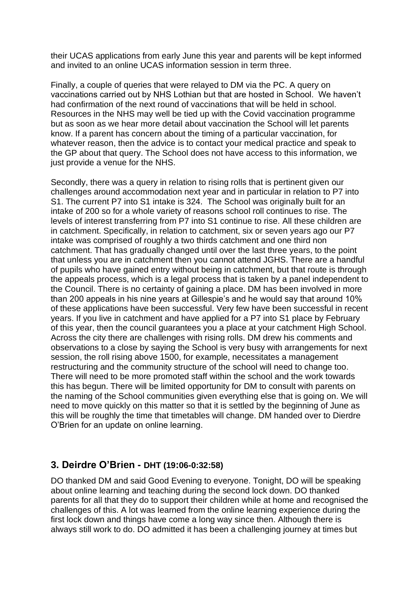their UCAS applications from early June this year and parents will be kept informed and invited to an online UCAS information session in term three.

Finally, a couple of queries that were relayed to DM via the PC. A query on vaccinations carried out by NHS Lothian but that are hosted in School. We haven't had confirmation of the next round of vaccinations that will be held in school. Resources in the NHS may well be tied up with the Covid vaccination programme but as soon as we hear more detail about vaccination the School will let parents know. If a parent has concern about the timing of a particular vaccination, for whatever reason, then the advice is to contact your medical practice and speak to the GP about that query. The School does not have access to this information, we just provide a venue for the NHS.

Secondly, there was a query in relation to rising rolls that is pertinent given our challenges around accommodation next year and in particular in relation to P7 into S1. The current P7 into S1 intake is 324. The School was originally built for an intake of 200 so for a whole variety of reasons school roll continues to rise. The levels of interest transferring from P7 into S1 continue to rise. All these children are in catchment. Specifically, in relation to catchment, six or seven years ago our P7 intake was comprised of roughly a two thirds catchment and one third non catchment. That has gradually changed until over the last three years, to the point that unless you are in catchment then you cannot attend JGHS. There are a handful of pupils who have gained entry without being in catchment, but that route is through the appeals process, which is a legal process that is taken by a panel independent to the Council. There is no certainty of gaining a place. DM has been involved in more than 200 appeals in his nine years at Gillespie's and he would say that around 10% of these applications have been successful. Very few have been successful in recent years. If you live in catchment and have applied for a P7 into S1 place by February of this year, then the council guarantees you a place at your catchment High School. Across the city there are challenges with rising rolls. DM drew his comments and observations to a close by saying the School is very busy with arrangements for next session, the roll rising above 1500, for example, necessitates a management restructuring and the community structure of the school will need to change too. There will need to be more promoted staff within the school and the work towards this has begun. There will be limited opportunity for DM to consult with parents on the naming of the School communities given everything else that is going on. We will need to move quickly on this matter so that it is settled by the beginning of June as this will be roughly the time that timetables will change. DM handed over to Dierdre O'Brien for an update on online learning.

#### **3. Deirdre O'Brien - DHT (19:06-0:32:58)**

DO thanked DM and said Good Evening to everyone. Tonight, DO will be speaking about online learning and teaching during the second lock down. DO thanked parents for all that they do to support their children while at home and recognised the challenges of this. A lot was learned from the online learning experience during the first lock down and things have come a long way since then. Although there is always still work to do. DO admitted it has been a challenging journey at times but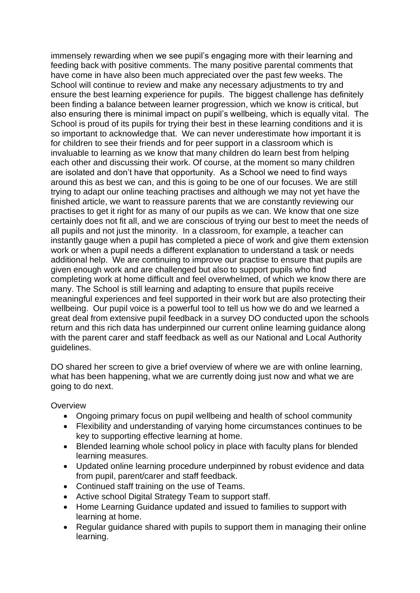immensely rewarding when we see pupil's engaging more with their learning and feeding back with positive comments. The many positive parental comments that have come in have also been much appreciated over the past few weeks. The School will continue to review and make any necessary adjustments to try and ensure the best learning experience for pupils. The biggest challenge has definitely been finding a balance between learner progression, which we know is critical, but also ensuring there is minimal impact on pupil's wellbeing, which is equally vital. The School is proud of its pupils for trying their best in these learning conditions and it is so important to acknowledge that. We can never underestimate how important it is for children to see their friends and for peer support in a classroom which is invaluable to learning as we know that many children do learn best from helping each other and discussing their work. Of course, at the moment so many children are isolated and don't have that opportunity. As a School we need to find ways around this as best we can, and this is going to be one of our focuses. We are still trying to adapt our online teaching practises and although we may not yet have the finished article, we want to reassure parents that we are constantly reviewing our practises to get it right for as many of our pupils as we can. We know that one size certainly does not fit all, and we are conscious of trying our best to meet the needs of all pupils and not just the minority. In a classroom, for example, a teacher can instantly gauge when a pupil has completed a piece of work and give them extension work or when a pupil needs a different explanation to understand a task or needs additional help. We are continuing to improve our practise to ensure that pupils are given enough work and are challenged but also to support pupils who find completing work at home difficult and feel overwhelmed, of which we know there are many. The School is still learning and adapting to ensure that pupils receive meaningful experiences and feel supported in their work but are also protecting their wellbeing. Our pupil voice is a powerful tool to tell us how we do and we learned a great deal from extensive pupil feedback in a survey DO conducted upon the schools return and this rich data has underpinned our current online learning guidance along with the parent carer and staff feedback as well as our National and Local Authority guidelines.

DO shared her screen to give a brief overview of where we are with online learning, what has been happening, what we are currently doing just now and what we are going to do next.

**Overview** 

- Ongoing primary focus on pupil wellbeing and health of school community
- Flexibility and understanding of varying home circumstances continues to be key to supporting effective learning at home.
- Blended learning whole school policy in place with faculty plans for blended learning measures.
- Updated online learning procedure underpinned by robust evidence and data from pupil, parent/carer and staff feedback.
- Continued staff training on the use of Teams.
- Active school Digital Strategy Team to support staff.
- Home Learning Guidance updated and issued to families to support with learning at home.
- Regular guidance shared with pupils to support them in managing their online learning.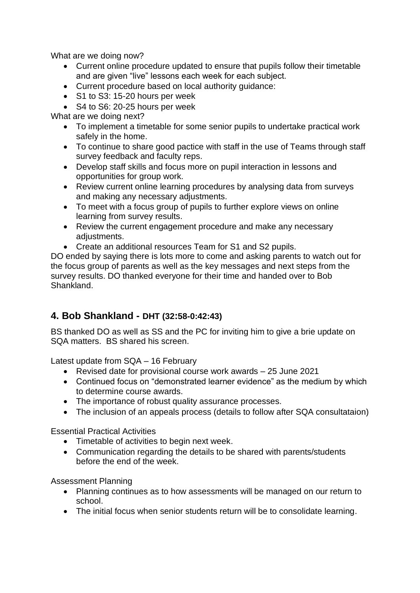What are we doing now?

- Current online procedure updated to ensure that pupils follow their timetable and are given "live" lessons each week for each subject.
- Current procedure based on local authority guidance:
- S1 to S3: 15-20 hours per week
- S4 to S6: 20-25 hours per week

What are we doing next?

- To implement a timetable for some senior pupils to undertake practical work safely in the home.
- To continue to share good pactice with staff in the use of Teams through staff survey feedback and faculty reps.
- Develop staff skills and focus more on pupil interaction in lessons and opportunities for group work.
- Review current online learning procedures by analysing data from surveys and making any necessary adjustments.
- To meet with a focus group of pupils to further explore views on online learning from survey results.
- Review the current engagement procedure and make any necessary adiustments.
- Create an additional resources Team for S1 and S2 pupils.

DO ended by saying there is lots more to come and asking parents to watch out for the focus group of parents as well as the key messages and next steps from the survey results. DO thanked everyone for their time and handed over to Bob Shankland.

## **4. Bob Shankland - DHT (32:58-0:42:43)**

BS thanked DO as well as SS and the PC for inviting him to give a brie update on SQA matters. BS shared his screen.

Latest update from SQA – 16 February

- Revised date for provisional course work awards 25 June 2021
- Continued focus on "demonstrated learner evidence" as the medium by which to determine course awards.
- The importance of robust quality assurance processes.
- The inclusion of an appeals process (details to follow after SQA consultataion)

Essential Practical Activities

- Timetable of activities to begin next week.
- Communication regarding the details to be shared with parents/students before the end of the week.

Assessment Planning

- Planning continues as to how assessments will be managed on our return to school.
- The initial focus when senior students return will be to consolidate learning.